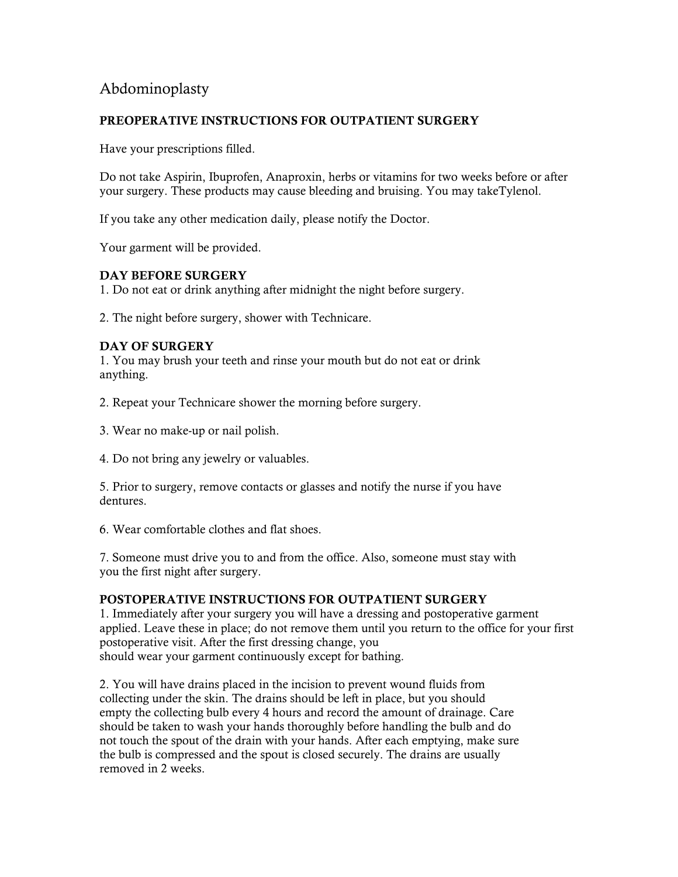# Abdominoplasty

## PREOPERATIVE INSTRUCTIONS FOR OUTPATIENT SURGERY

Have your prescriptions filled.

Do not take Aspirin, Ibuprofen, Anaproxin, herbs or vitamins for two weeks before or after your surgery. These products may cause bleeding and bruising. You may takeTylenol.

If you take any other medication daily, please notify the Doctor.

Your garment will be provided.

### DAY BEFORE SURGERY

1. Do not eat or drink anything after midnight the night before surgery.

2. The night before surgery, shower with Technicare.

### DAY OF SURGERY

1. You may brush your teeth and rinse your mouth but do not eat or drink anything.

2. Repeat your Technicare shower the morning before surgery.

- 3. Wear no make-up or nail polish.
- 4. Do not bring any jewelry or valuables.

5. Prior to surgery, remove contacts or glasses and notify the nurse if you have dentures.

6. Wear comfortable clothes and flat shoes.

7. Someone must drive you to and from the office. Also, someone must stay with you the first night after surgery.

#### POSTOPERATIVE INSTRUCTIONS FOR OUTPATIENT SURGERY

1. Immediately after your surgery you will have a dressing and postoperative garment applied. Leave these in place; do not remove them until you return to the office for your first postoperative visit. After the first dressing change, you should wear your garment continuously except for bathing.

2. You will have drains placed in the incision to prevent wound fluids from collecting under the skin. The drains should be left in place, but you should empty the collecting bulb every 4 hours and record the amount of drainage. Care should be taken to wash your hands thoroughly before handling the bulb and do not touch the spout of the drain with your hands. After each emptying, make sure the bulb is compressed and the spout is closed securely. The drains are usually removed in 2 weeks.